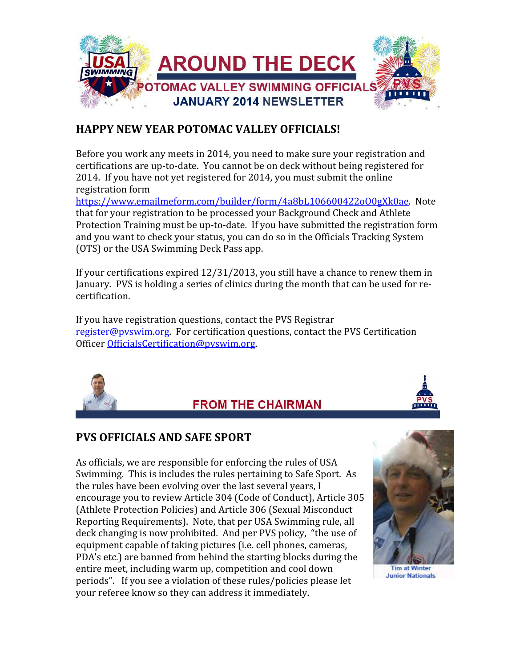

#### HAPPY NEW YEAR POTOMAC VALLEY OFFICIALS!

Before you work any meets in 2014, you need to make sure your registration and certifications are up-to-date. You cannot be on deck without being registered for 2014. If you have not yet registered for 2014, you must submit the online registration form

https://www.emailmeform.com/builder/form/4a8bL106600422oO0gXk0ae. Note that for your registration to be processed your Background Check and Athlete Protection Training must be up-to-date. If you have submitted the registration form and you want to check your status, you can do so in the Officials Tracking System (OTS) or the USA Swimming Deck Pass app.

If your certifications expired 12/31/2013, you still have a chance to renew them in January. PVS is holding a series of clinics during the month that can be used for recertification.

If you have registration questions, contact the PVS Registrar register@pvswim.org. For certification questions, contact the PVS Certification Officer OfficialsCertification@pvswim.org.



#### **FROM THE CHAIRMAN**



#### PVS OFFICIALS AND SAFE SPORT

As officials, we are responsible for enforcing the rules of USA Swimming. This is includes the rules pertaining to Safe Sport. As the rules have been evolving over the last several years, I encourage you to review Article 304 (Code of Conduct), Article 305 (Athlete Protection Policies) and Article 306 (Sexual Misconduct Reporting Requirements). Note, that per USA Swimming rule, all deck changing is now prohibited. And per PVS policy, "the use of equipment capable of taking pictures (i.e. cell phones, cameras, PDA's etc.) are banned from behind the starting blocks during the entire meet, including warm up, competition and cool down periods". If you see a violation of these rules/policies please let your referee know so they can address it immediately.



**Tim at Winter Junior Nationals**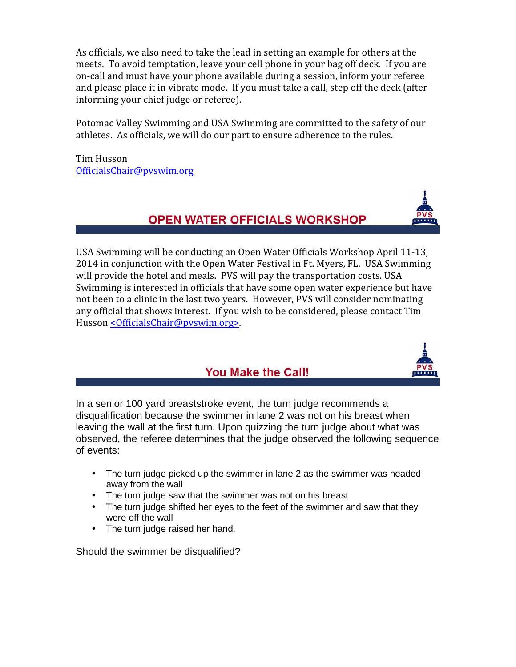As officials, we also need to take the lead in setting an example for others at the meets. To avoid temptation, leave your cell phone in your bag off deck. If you are on-call and must have your phone available during a session, inform your referee and please place it in vibrate mode. If you must take a call, step off the deck (after informing your chief judge or referee).

Potomac Valley Swimming and USA Swimming are committed to the safety of our athletes. As officials, we will do our part to ensure adherence to the rules.

Tim Husson OfficialsChair@pvswim.org



#### **OPEN WATER OFFICIALS WORKSHOP**

USA Swimming will be conducting an Open Water Officials Workshop April 11-13, 2014 in conjunction with the Open Water Festival in Ft. Myers, FL. USA Swimming will provide the hotel and meals. PVS will pay the transportation costs. USA Swimming is interested in officials that have some open water experience but have not been to a clinic in the last two years. However, PVS will consider nominating any official that shows interest. If you wish to be considered, please contact Tim Husson < Officials Chair@pyswim.org>.



#### You Make the Call!

In a senior 100 yard breaststroke event, the turn judge recommends a disqualification because the swimmer in lane 2 was not on his breast when leaving the wall at the first turn. Upon quizzing the turn judge about what was observed, the referee determines that the judge observed the following sequence of events:

- The turn judge picked up the swimmer in lane 2 as the swimmer was headed away from the wall
- The turn judge saw that the swimmer was not on his breast
- The turn judge shifted her eyes to the feet of the swimmer and saw that they were off the wall
- The turn judge raised her hand.

Should the swimmer be disqualified?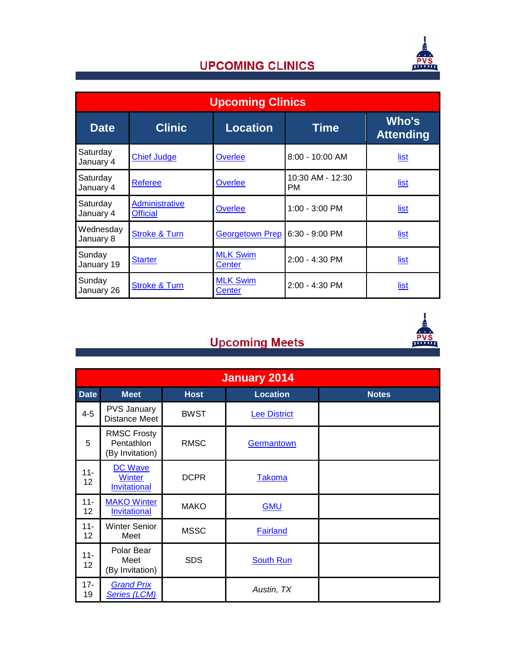

### **UPCOMING CLINICS**

| <b>Upcoming Clinics</b> |                                   |                           |                        |                           |  |  |  |
|-------------------------|-----------------------------------|---------------------------|------------------------|---------------------------|--|--|--|
| <b>Date</b>             | <b>Clinic</b>                     | <b>Location</b>           | <b>Time</b>            | Who's<br><b>Attending</b> |  |  |  |
| Saturday<br>January 4   | <b>Chief Judge</b>                | Overlee                   | $8:00 - 10:00$ AM      | list                      |  |  |  |
| Saturday<br>January 4   | <b>Referee</b>                    | Overlee                   | 10:30 AM - 12:30<br>PM | <u>list</u>               |  |  |  |
| Saturday<br>January 4   | Administrative<br><b>Official</b> | Overlee                   | 1:00 - 3:00 PM         | <u>list</u>               |  |  |  |
| Wednesday<br>January 8  | <b>Stroke &amp; Turn</b>          | <b>Georgetown Prep</b>    | $6:30 - 9:00$ PM       | list                      |  |  |  |
| Sunday<br>January 19    | <b>Starter</b>                    | <b>MLK Swim</b><br>Center | $2:00 - 4:30$ PM       | list                      |  |  |  |
| Sunday<br>January 26    | <b>Stroke &amp; Turn</b>          | <b>MLK Swim</b><br>Center | $2:00 - 4:30$ PM       | list                      |  |  |  |



## **Upcoming Meets**

| <b>January 2014</b> |                                                     |             |                     |              |  |  |  |
|---------------------|-----------------------------------------------------|-------------|---------------------|--------------|--|--|--|
| <b>Date</b>         | <b>Meet</b>                                         | <b>Host</b> | <b>Location</b>     | <b>Notes</b> |  |  |  |
| $4 - 5$             | <b>PVS January</b><br><b>Distance Meet</b>          | <b>BWST</b> | <b>Lee District</b> |              |  |  |  |
| 5                   | <b>RMSC Frosty</b><br>Pentathlon<br>(By Invitation) | <b>RMSC</b> | Germantown          |              |  |  |  |
| $11 -$<br>12        | DC Wave<br><b>Winter</b><br><b>Invitational</b>     | <b>DCPR</b> | <b>Takoma</b>       |              |  |  |  |
| $11 -$<br>12        | <b>MAKO Winter</b><br>Invitational                  | <b>MAKO</b> | <b>GMU</b>          |              |  |  |  |
| $11 -$<br>12        | <b>Winter Senior</b><br>Meet                        | <b>MSSC</b> | <b>Fairland</b>     |              |  |  |  |
| $11 -$<br>12        | Polar Bear<br>Meet<br>(By Invitation)               | <b>SDS</b>  | <b>South Run</b>    |              |  |  |  |
| $17 -$<br>19        | <b>Grand Prix</b><br><b>Series (LCM)</b>            |             | Austin, TX          |              |  |  |  |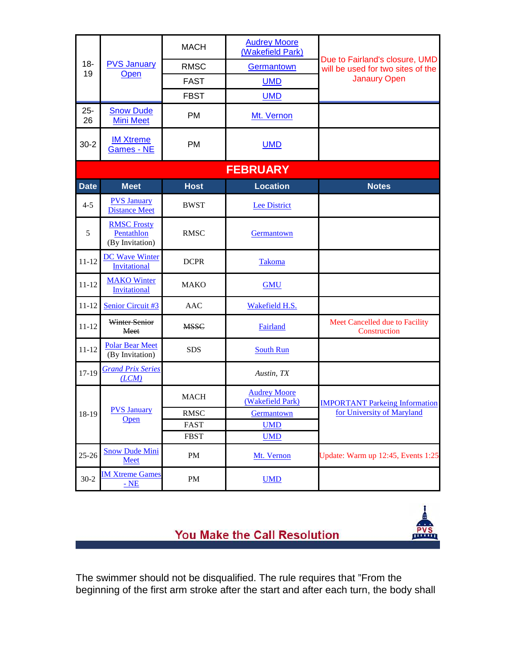| $18 -$<br>19 |                                                     | <b>MACH</b>  | <b>Audrey Moore</b><br>(Wakefield Park) |                                                                     |  |  |  |  |  |
|--------------|-----------------------------------------------------|--------------|-----------------------------------------|---------------------------------------------------------------------|--|--|--|--|--|
|              | <b>PVS January</b><br>Open                          | <b>RMSC</b>  | Germantown                              | Due to Fairland's closure, UMD<br>will be used for two sites of the |  |  |  |  |  |
|              |                                                     | <b>FAST</b>  | <b>Janaury Open</b><br><b>UMD</b>       |                                                                     |  |  |  |  |  |
|              |                                                     | <b>FBST</b>  | <b>UMD</b>                              |                                                                     |  |  |  |  |  |
| $25 -$<br>26 | <b>Snow Dude</b><br><b>Mini Meet</b>                | <b>PM</b>    | Mt. Vernon                              |                                                                     |  |  |  |  |  |
| $30 - 2$     | <b>IM Xtreme</b><br><b>Games - NE</b>               | <b>PM</b>    | <b>UMD</b>                              |                                                                     |  |  |  |  |  |
|              | <b>FEBRUARY</b>                                     |              |                                         |                                                                     |  |  |  |  |  |
| <b>Date</b>  | <b>Meet</b>                                         | <b>Host</b>  | <b>Location</b>                         | <b>Notes</b>                                                        |  |  |  |  |  |
| $4 - 5$      | <b>PVS January</b><br><b>Distance Meet</b>          | <b>BWST</b>  | <b>Lee District</b>                     |                                                                     |  |  |  |  |  |
| 5            | <b>RMSC Frosty</b><br>Pentathlon<br>(By Invitation) | <b>RMSC</b>  | Germantown                              |                                                                     |  |  |  |  |  |
| $11 - 12$    | <b>DC Wave Winter</b><br>Invitational               | <b>DCPR</b>  | Takoma                                  |                                                                     |  |  |  |  |  |
| $11 - 12$    | <b>MAKO Winter</b><br><b>Invitational</b>           | <b>MAKO</b>  | <b>GMU</b>                              |                                                                     |  |  |  |  |  |
| $11 - 12$    | Senior Circuit #3                                   | <b>AAC</b>   | Wakefield H.S.                          |                                                                     |  |  |  |  |  |
| $11 - 12$    | Winter Senior<br>Meet                               | <b>MSSC</b>  | Fairland                                | Meet Cancelled due to Facility<br>Construction                      |  |  |  |  |  |
| $11 - 12$    | <b>Polar Bear Meet</b><br>(By Invitation)           | <b>SDS</b>   | <b>South Run</b>                        |                                                                     |  |  |  |  |  |
| 17-19        | <b>Grand Prix Series</b><br>(LCM)                   |              | Austin, TX                              |                                                                     |  |  |  |  |  |
| 18-19        | <b>PVS January</b>                                  | <b>MACH</b>  | <b>Audrey Moore</b><br>(Wakefield Park) | <b>IMPORTANT Parkeing Information</b>                               |  |  |  |  |  |
|              |                                                     | RMSC<br>Open |                                         | for University of Maryland<br><b>Germantown</b>                     |  |  |  |  |  |
|              |                                                     | FAST         | <b>UMD</b>                              |                                                                     |  |  |  |  |  |
|              |                                                     | <b>FBST</b>  | <b>UMD</b>                              |                                                                     |  |  |  |  |  |
| $25 - 26$    | <b>Snow Dude Mini</b><br>Meet                       | PM           | Mt. Vernon                              | Update: Warm up 12:45, Events 1:25                                  |  |  |  |  |  |
| $30 - 2$     | <b>IM Xtreme Games</b><br><u>- NE</u>               | PM           | <b>UMD</b>                              |                                                                     |  |  |  |  |  |



You Make the Call Resolution

The swimmer should not be disqualified. The rule requires that "From the beginning of the first arm stroke after the start and after each turn, the body shall